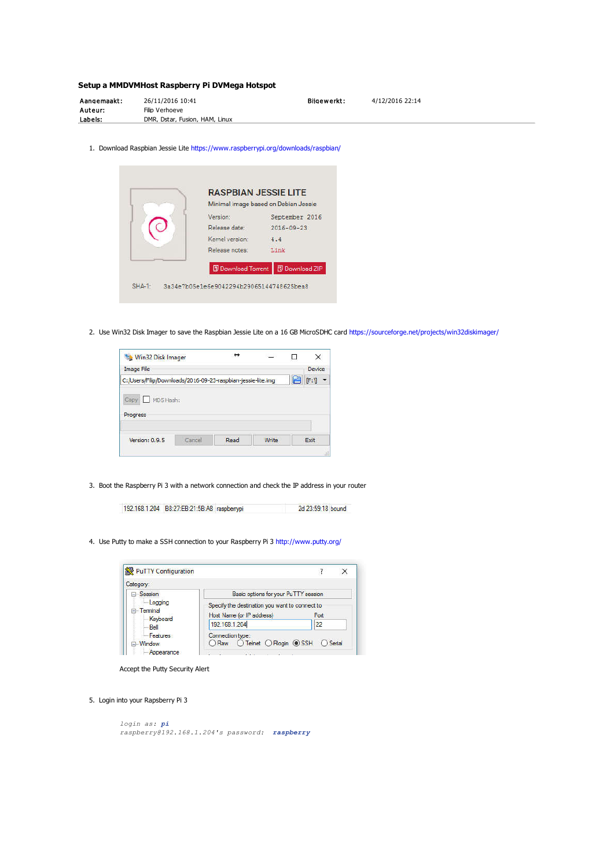# **Setup a MMDVMHost Raspberry Pi DVMega Hotspot**

| Aangemaakt: | 26/11/2016 10:41               | Bilgewerkt: | 4/12/2016 22:14 |
|-------------|--------------------------------|-------------|-----------------|
| Auteur:     | Filip Verhoeve                 |             |                 |
| Labels:     | DMR, Dstar, Fusion, HAM, Linux |             |                 |

1. Download Raspbian Jessie Lite https://www.raspberrypi.org/downloads/raspbian/

| Minimal image based on Debian Jessie |                       |
|--------------------------------------|-----------------------|
| Version:                             | September 2016        |
| Release date:                        | $2016 - 09 - 23$      |
| Kernel version:                      | 4.4                   |
| Release notes:                       | Link                  |
| <b>D</b> Download Torrent            | <b>B</b> Download ZIP |

2. Use Win32 Disk Imager to save the Raspbian Jessie Lite on a 16 GB MicroSDHC card https://sourceforge.net/projects/win32diskimager/

| Win32 Disk Imager                                            |        | ↔    | 있는가?  | ш |        |
|--------------------------------------------------------------|--------|------|-------|---|--------|
| <b>Image File</b>                                            |        |      |       |   | Device |
| C:/Users/Filip/Downloads/2016-09-23-raspbian-jessie-lite.img |        |      |       |   | [Fe]   |
| Progress                                                     |        |      |       |   |        |
| Version: 0.9.5                                               | Cancel | Read | Write |   | Exit   |
|                                                              |        |      |       |   | аī     |

3. Boot the Raspberry Pi 3 with a network connection and check the IP address in your router

192.168.1.204 B8:27:EB:21:5B:A8 raspbenypi 2d 23:59:18 bound

4. Use Putty to make a SSH connection to your Raspberry Pi 3 http://www.putty.org/

| PuTTY Configuration                              |                                                                                     |    |  |
|--------------------------------------------------|-------------------------------------------------------------------------------------|----|--|
| Category:                                        |                                                                                     |    |  |
| <b>⊟</b> Session                                 | Basic options for your PuTTY session                                                |    |  |
| Logging<br><b>E</b> -Terminal<br><b>Keyboard</b> | Specify the destination you want to connect to<br>Host Name (or IP address)<br>Port |    |  |
| $-$ Bell                                         | 192.168.1.204                                                                       | 22 |  |
| Features<br><b>E</b> Window<br>Anpearance        | Connection type:<br>○Telnet ○Rlogin ● SSH ○Serial<br>) Raw                          |    |  |

Accept the Putty Security Alert

5. Login into your Rapsberry Pi 3

```
login as: pi
raspberry@192.168.1.204's password: raspberry
```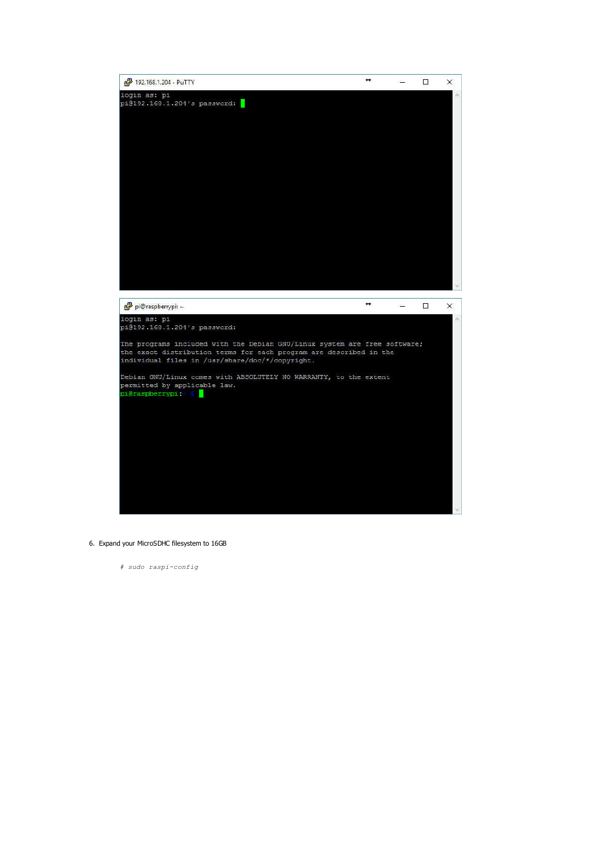

6. Expand your MicroSDHC filesystem to 16GB

*# sudo raspi-config*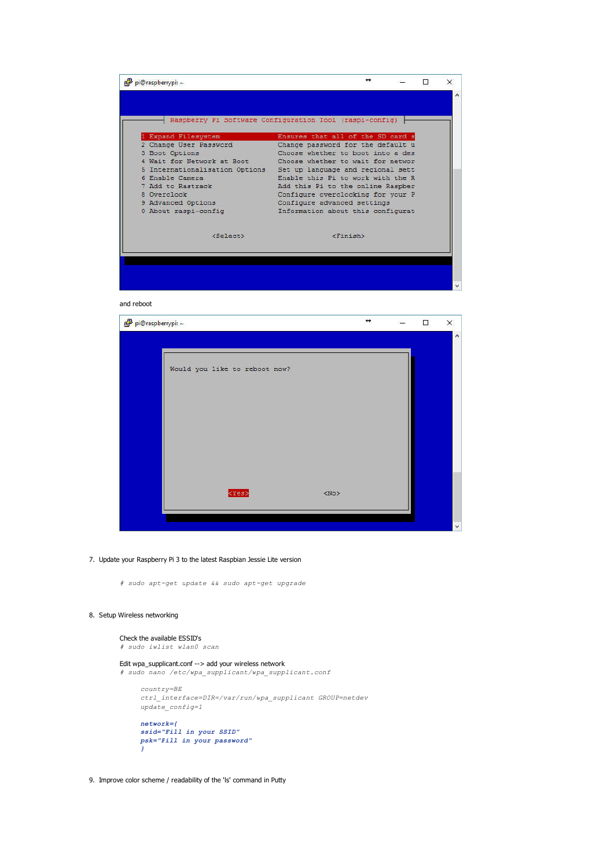

and reboot



7. Update your Raspberry Pi 3 to the latest Raspbian Jessie Lite version

*# sudo apt-get update && sudo apt-get upgrade*

## 8. Setup Wireless networking

*}*

```
Check the available ESSID's
# sudo iwlist wlan0 scan
```

```
Edit wpa_supplicant.conf --> add your wireless network
# sudo nano /etc/wpa_supplicant/wpa_supplicant.conf
     country=BE
    ctrl_interface=DIR=/var/run/wpa_supplicant GROUP=netdev
    update_config=1
     network={
     ssid="Fill in your SSID"
     psk="Fill in your password"
```
9. Improve color scheme / readability of the 'ls' command in Putty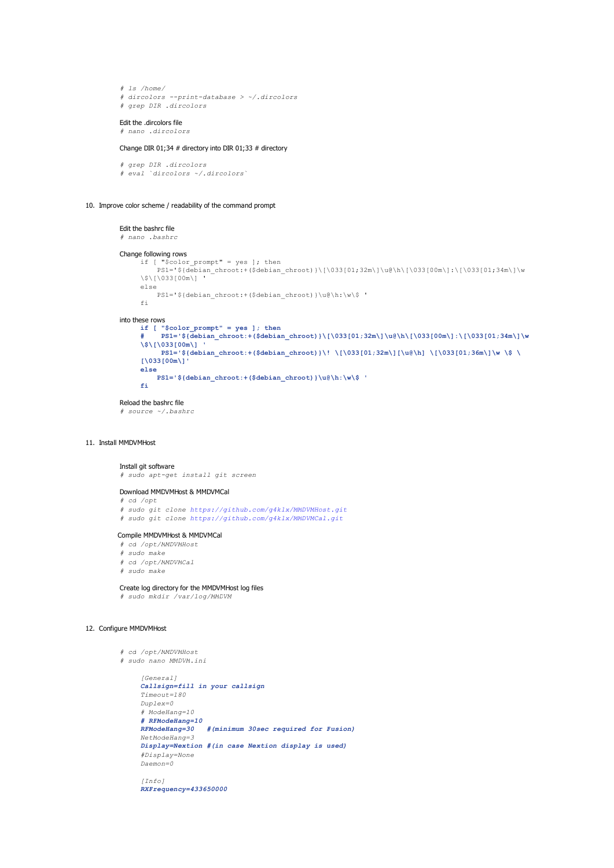```
# ls /home/
# dircolors --print-database > ~/.dircolors
# grep DIR .dircolors
```
#### Edit the dircolors file

```
# nano .dircolors
```
#### Change DIR 01;34 # directory into DIR 01;33 # directory

```
# grep DIR .dircolors
# eval `dircolors ~/.dircolors`
```
#### 10. Improve color scheme / readability of the command prompt

# Edit the bashrc file

*# nano .bashrc*

## Change following rows

```
if [ "$color prompt" = yes ]; then
    PS1='${debian_chroot:+($debian_chroot)}\[\033[01;32m\]\u@\h\[\033[00m\]:\[\033[01;34m\]\w
\$\[\033[00m\] '
else
   PS1='${debian_chroot:+($debian_chroot)}\u@\h:\w\$ '
f_i
```

```
into these rows
if [ "$color_prompt" = yes ]; then
         # PS1='${debian_chroot:+($debian_chroot)}\[\033[01;32m\]\u@\h\[\033[00m\]:\[\033[01;34m\]\w
    \$\[\033[00m\] '
         PS1='${debian_chroot:+($debian_chroot)}\! \[\033[01;32m\][\u@\h] \[\033[01;36m\]\w \$ \
     [\033[00m\]'
    else
        PS1='${debian_chroot:+($debian_chroot)}\u@\h:\w\$ '
    fi
```
Reload the bashrc file *# source ~/.bashrc*

#### 11. Install MMDVMHost

# Install git software

*# sudo apt-get install git screen*

## Download MMDVMHost & MMDVMCal

- *# cd /opt # sudo git clone https://github.com/g4klx/MMDVMHost.git*
- *# sudo git clone https://github.com/g4klx/MMDVMCal.git*

## Compile MMDVMHost & MMDVMCal

- *# cd /opt/MMDVMHost*
- *# sudo make*
- *# cd /opt/MMDVMCal*
- *# sudo make*

# Create log directory for the MMDVMHost log files

*# sudo mkdir /var/log/MMDVM*

## 12. Configure MMDVMHost

```
# cd /opt/MMDVMHost
# sudo nano MMDVM.ini
     [General]
     Callsign=fill in your callsign
     Timeout=180
    Duplex=0
     # ModeHang=10
     # RFModeHang=10
                     RFModeHang=30 #(minimum 30sec required for Fusion)
     NetModeHang=3
     Display=Nextion #(in case Nextion display is used)
     #Display=None
    Daemon=0
     [Info]
```
*RXFrequency=433650000*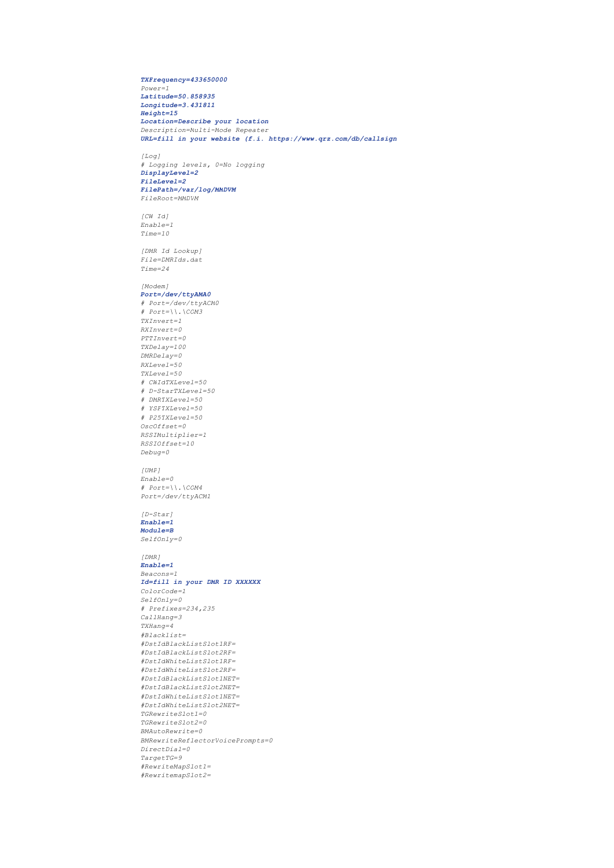#### *TXFrequency=433650000 Power=1 Latitude=50.858935 Longitude=3.431811 Height=15 Location=Describe your location Description=Multi-Mode Repeater URL=fill in your website (f.i. https://www.qrz.com/db/callsign*

*[Log] # Logging levels, 0=No logging DisplayLevel=2 FileLevel=2 FilePath=/var/log/MMDVM FileRoot=MMDVM*

*[CW Id] Enable=1 Time=10*

*[DMR Id Lookup] File=DMRIds.dat Time=24*

#### *[Modem] Port=/dev/ttyAMA0*

*# Port=/dev/ttyACM0 # Port=\\.\COM3 TXInvert=1 RXInvert=0 PTTInvert=0 TXDelay=100 DMRDelay=0 RXLevel=50 TXLevel=50 # CWIdTXLevel=50 # D-StarTXLevel=50 # DMRTXLevel=50 # YSFTXLevel=50 # P25TXLevel=50 OscOffset=0 RSSIMultiplier=1 RSSIOffset=10 Debug=0*

# *[UMP]*

*Enable=0 # Port=\\.\COM4 Port=/dev/ttyACM1*

# *[D-Star] Enable=1*

*Module=B SelfOnly=0*

*[DMR] Enable=1 Beacons=1 Id=fill in your DMR ID XXXXXX ColorCode=1 SelfOnly=0 # Prefixes=234,235 CallHang=3 TXHang=4 #Blacklist= #DstIdBlackListSlot1RF= #DstIdBlackListSlot2RF= #DstIdWhiteListSlot1RF= #DstIdWhiteListSlot2RF= #DstIdBlackListSlot1NET= #DstIdBlackListSlot2NET= #DstIdWhiteListSlot1NET= #DstIdWhiteListSlot2NET= TGRewriteSlot1=0 TGRewriteSlot2=0 BMAutoRewrite=0 BMRewriteReflectorVoicePrompts=0 DirectDial=0 TargetTG=9 #RewriteMapSlot1= #RewritemapSlot2=*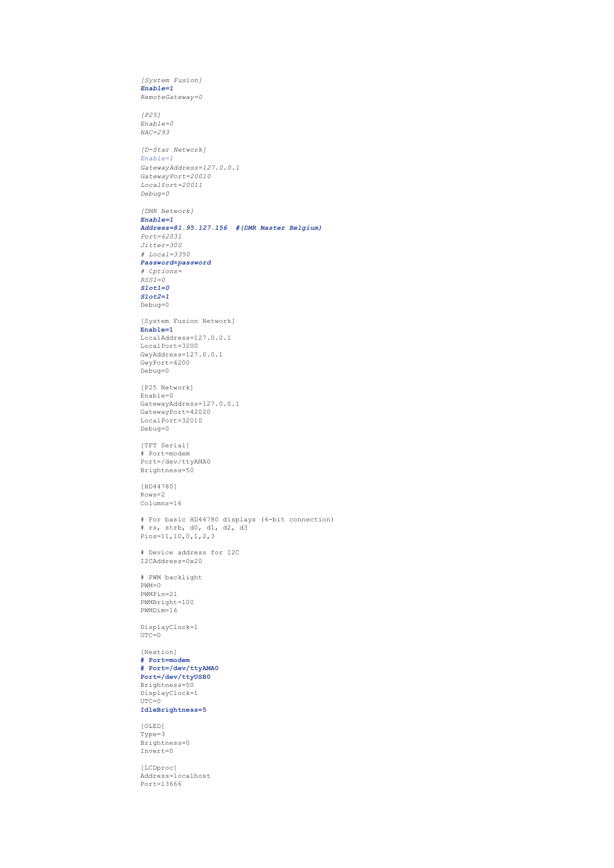*[System Fusion] Enable=1 RemoteGateway=0 [P25] Enable=0 NAC=293 [D-Star Network] Enable=1 GatewayAddress=127.0.0.1 GatewayPort=20010 LocalPort=20011 Debug=0 [DMR Network] Enable=1 Address=81.95.127.156 #(DMR Master Belgium) Port=62031 Jitter=300 # Local=3350 Password=password # Options= RSSI=0 Slot1=0 Slot2=1*  $Debuq=0$ [System Fusion Network] **Enable=1** LocalAddress=127.0.0.1 LocalPort=3200 GwyAddress=127.0.0.1 GwyPort=4200 Debug=0 [P25 Network] Enable=0 GatewayAddress=127.0.0.1 GatewayPort=42020 LocalPort=32010 Debug=0 [TFT Serial] # Port=modem Port=/dev/ttyAMA0 Brightness=50 [HD44780] Rows=2 Columns=16 # For basic HD44780 displays (4-bit connection) # rs, strb, d0, d1, d2, d3 Pins=11,10,0,1,2,3 # Device address for I2C I2CAddress=0x20 # PWM backlight PWM=0 PWMPin=21 PWMBright=100 PWMDim=16 DisplayClock=1  $UTC=0$ [Nextion] **# Port=modem # Port=/dev/ttyAMA0 Port=/dev/ttyUSB0** Brightness=50 DisplayClock=1 UTC=0 **IdleBrightness=5** [OLED] Type=3 Brightness=0 Invert=0 [LCDproc] Address=localhost Port=13666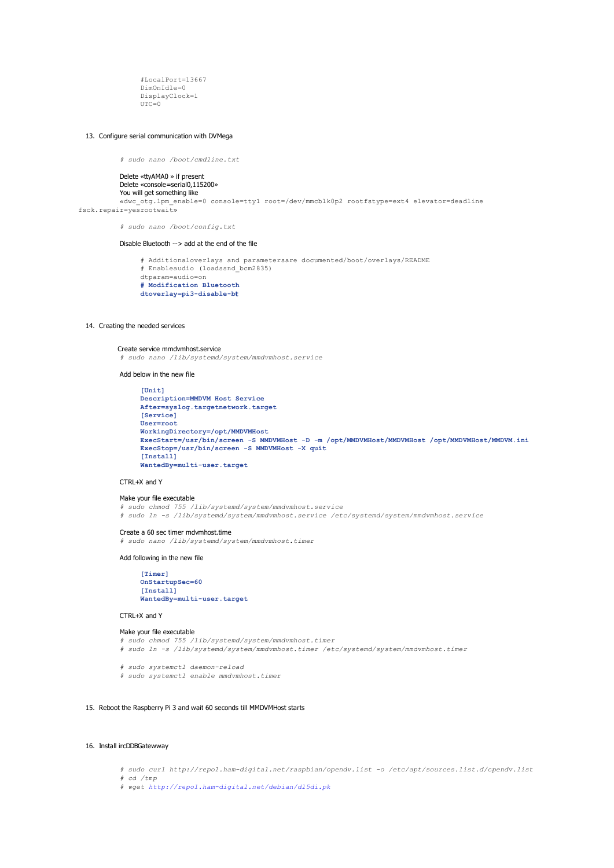#LocalPort=13667 DimOnIdle=0 DisplayClock=1  $UTC=0$ 

#### 13. Configure serial communication with DVMega

*# sudo nano /boot/cmdline.txt*

Delete «ttyAMA0 » if present Delete «console=serial0,115200» You will get something like «dwc\_otg.lpm\_enable=0 console=tty1 root=/dev/mmcblk0p2 rootfstype=ext4 elevator=deadline fsck.repair=yesrootwait»

*# sudo nano /boot/config.txt*

# Disable Bluetooth --> add at the end of the file

# Additionaloverlays and parametersare documented/boot/overlays/README # Enableaudio (loadssnd\_bcm2835) dtparam=audio=on **# Modification Bluetooth dtoverlay=pi3-disable-bt**

#### 14. Creating the needed services

Create service mmdvmhost.service *# sudo nano /lib/systemd/system/mmdvmhost.service*

Add below in the new file

**[Unit] Description=MMDVM Host Service After=syslog.targetnetwork.target [Service] User=root WorkingDirectory=/opt/MMDVMHost ExecStart=/usr/bin/screen -S MMDVMHost -D -m /opt/MMDVMHost/MMDVMHost /opt/MMDVMHost/MMDVM.ini ExecStop=/usr/bin/screen -S MMDVMHost -X quit [Install] WantedBy=multi-user.target**

#### CTRL+X and Y

#### Make your file executable *# sudo chmod 755 /lib/systemd/system/mmdvmhost.service # sudo ln -s /lib/systemd/system/mmdvmhost.service /etc/systemd/system/mmdvmhost.service*

#### Create a 60 sec timer mdvmhost.time

*# sudo nano /lib/systemd/system/mmdvmhost.timer*

Add following in the new file

**[Timer] OnStartupSec=60 [Install] WantedBy=multi-user.target**

#### CTRL+X and Y

```
Make your file executable
# sudo chmod 755 /lib/systemd/system/mmdvmhost.timer
# sudo ln -s /lib/systemd/system/mmdvmhost.timer /etc/systemd/system/mmdvmhost.timer
# sudo systemctl daemon-reload
```
*# sudo systemctl enable mmdvmhost.timer*

#### 15. Reboot the Raspberry Pi 3 and wait 60 seconds till MMDVMHost starts

#### 16. Install ircDDBGatewway

*# sudo curl http://repo1.ham-digital.net/raspbian/opendv.list -o /etc/apt/sources.list.d/opendv.list*

*# cd /tmp*

*# wget http://repo1.ham-digital.net/debian/dl5di.pk*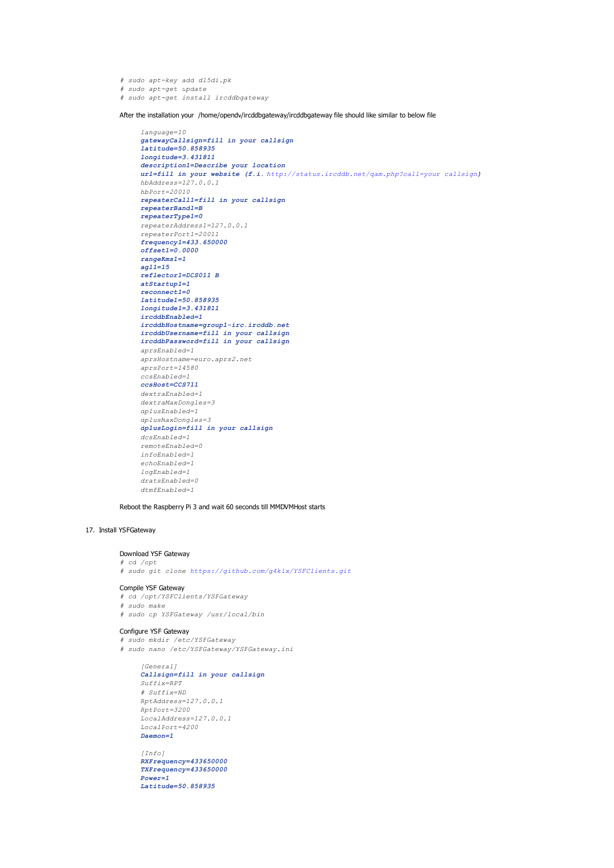*# sudo apt-key add dl5di.pk # sudo apt-get update # sudo apt-get install ircddbgateway*

After the installation your /home/opendv/ircddbgateway/ircddbgateway file should like similar to below file

```
language=10
gatewayCallsign=fill in your callsign
latitude=50.858935
longitude=3.431811
description1=Describe your location
url=fill in your website (f.i. http://status.ircddb.net/qam.php?call=your callsign)
hbAddress=127.0.0.1
hbPort=20010
repeaterCall1=fill in your callsign
repeaterBand1=B
repeaterType1=0
repeaterAddress1=127.0.0.1
repeaterPort1=20011
frequency1=433.650000
offset1=0.0000
rangeKms1=1
agl1=15
reflector1=DCS011 B
atStartup1=1
reconnect1=0
latitude1=50.858935
longitude1=3.431811
ircddbEnabled=1
ircddbHostname=group1-irc.ircddb.net
ircddbUsername=fill in your callsign
ircddbPassword=fill in your callsign
aprsEnabled=1
aprsHostname=euro.aprs2.net
aprsPort=14580
ccsEnabled=1
ccsHost=CCS711
dextraEnabled=1
dextraMaxDongles=3
dplusEnabled=1
dplusMaxDongles=3
dplusLogin=fill in your callsign
dcsEnabled=1
remoteEnabled=0
infoEnabled=1
echoEnabled=1
logEnabled=1
dratsEnabled=0
dtmfEnabled=1
```
Reboot the Raspberry Pi 3 and wait 60 seconds till MMDVMHost starts

# 17. Install YSFGateway

#### Download YSF Gateway

*# cd /opt # sudo git clone https://github.com/g4klx/YSFClients.git*

#### Compile YSF Gateway

*# cd /opt/YSFClients/YSFGateway # sudo make # sudo cp YSFGateway /usr/local/bin*

#### Configure YSF Gateway

*# sudo mkdir /etc/YSFGateway # sudo nano /etc/YSFGateway/YSFGateway.ini*

```
[General]
Callsign=fill in your callsign
Suffix=RPT
# Suffix=ND
RptAddress=127.0.0.1
RptPort=3200
LocalAddress=127.0.0.1
LocalPort=4200
Daemon=1
```
*[Info] RXFrequency=433650000 TXFrequency=433650000 Power=1 Latitude=50.858935*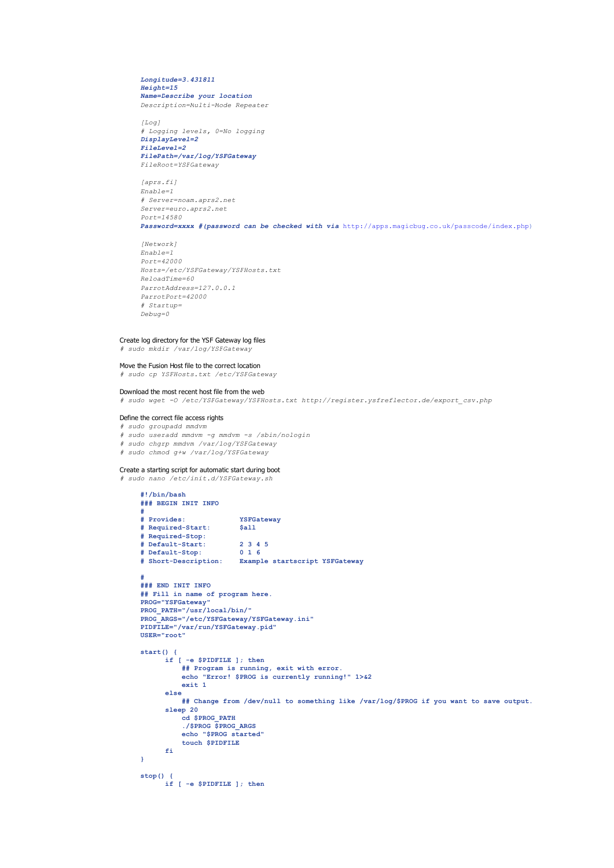#### *Longitude=3.431811 Height=15 Name=Describe your location Description=Multi-Mode Repeater*

 $[LOG]$ *# Logging levels, 0=No logging DisplayLevel=2 FileLevel=2 FilePath=/var/log/YSFGateway FileRoot=YSFGateway*

*[aprs.fi] Enable=1 # Server=noam.aprs2.net Server=euro.aprs2.net Port=14580*

*Password=xxxx #(password can be checked with via* http://apps.magicbug.co.uk/passcode/index.php)

*[Network] Enable=1 Port=42000 Hosts=/etc/YSFGateway/YSFHosts.txt ReloadTime=60 ParrotAddress=127.0.0.1 ParrotPort=42000 # Startup= Debug=0*

#### Create log directory for the YSF Gateway log files

*# sudo mkdir /var/log/YSFGateway*

# Move the Fusion Host file to the correct location

*# sudo cp YSFHosts.txt /etc/YSFGateway*

#### Download the most recent host file from the web

*# sudo wget -O /etc/YSFGateway/YSFHosts.txt http://register.ysfreflector.de/export\_csv.php*

#### Define the correct file access rights

*# sudo groupadd mmdvm*

- *# sudo useradd mmdvm -g mmdvm -s /sbin/nologin*
- *# sudo chgrp mmdvm /var/log/YSFGateway*
- *# sudo chmod g+w /var/log/YSFGateway*

#### Create a starting script for automatic start during boot *# sudo nano /etc/init.d/YSFGateway.sh*

```
#!/bin/bash
### BEGIN INIT INFO
#
                      # Provides: YSFGateway
# Required-Start: $all
# Required-Stop:
# Default-Start: 2 3 4 5
# Default-Stop: 0 1 6
# Short-Description: Example startscript YSFGateway
#
### END INIT INFO
## Fill in name of program here.
PROG="YSFGateway"
PROG_PATH="/usr/local/bin/"
PROG_ARGS="/etc/YSFGateway/YSFGateway.ini"
PIDFILE="/var/run/YSFGateway.pid"
USER="root"
start() {
      if [ -e $PIDFILE ]; then
         ## Program is running, exit with error.
          echo "Error! $PROG is currently running!" 1>&2
         exit 1
      else
         ## Change from /dev/null to something like /var/log/$PROG if you want to save output.
      sleep 20
         cd $PROG_PATH
         ./$PROG $PROG_ARGS
          echo "$PROG started"
         touch $PIDFILE
      fi
}
stop() {
      if [ -e $PIDFILE ]; then
```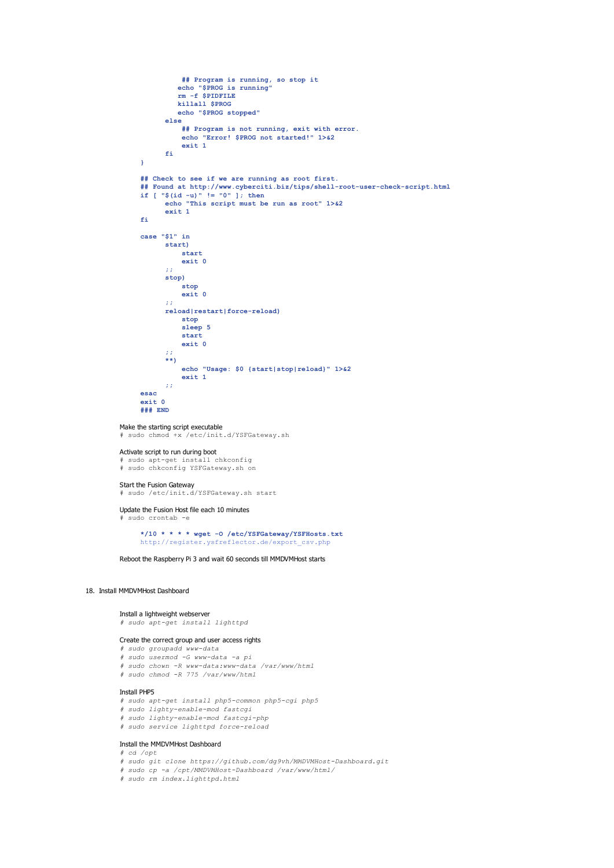```
## Program is running, so stop it
          echo "$PROG is running"
         rm -f $PIDFILE
          killall $PROG
          echo "$PROG stopped"
      else
           ## Program is not running, exit with error.
echo "Error! $PROG not started!" 1>&2
          exit 1
      fi
}
## Check to see if we are running as root first.
## Found at http://www.cyberciti.biz/tips/shell-root-user-check-script.html
if [ "$(id -u)" != "0" ]; then
      echo "This script must be run as root" 1>&2
      exit 1
fi
case "$1" in
      start)
          start
          exit 0
       ;;
      stop)
          stop
          exit 0
      ;;
      reload|restart|force-reload)
          stop
          sleep 5
          start
          exit 0
       ;;
       **)
          echo "Usage: $0 {start|stop|reload}" 1>&2
          exit 1
      ;;
esac
exit 0
### END
```
#### Make the starting script executable

# sudo chmod +x /etc/init.d/YSFGateway.sh

#### Activate script to run during boot

sudo apt-get install chkconfig # sudo chkconfig YSFGateway.sh on

**Start the Fusion Gateway**<br># sudo /etc/init.d/YSFGateway.sh start

#### Update the Fusion Host file each 10 minutes  $subo$  crontab  $-e$

**\*/10 \* \* \* \* wget -O /etc/YSFGateway/YSFHosts.txt** http://register.ysfreflector.de/export\_csv.php

Reboot the Raspberry Pi 3 and wait 60 seconds till MMDVMHost starts

#### 18. Install MMDVMHost Dashboard

#### Install a lightweight webserver *# sudo apt-get install lighttpd*

# Create the correct group and user access rights

- *# sudo groupadd www-data*
- *# sudo usermod -G www-data -a pi # sudo chown -R www-data:www-data /var/www/html*
- *# sudo chmod -R 775 /var/www/html*
- 

# Install PHP5

- *# sudo apt-get install php5-common php5-cgi php5*
- *# sudo lighty-enable-mod fastcgi*
- *# sudo lighty-enable-mod fastcgi-php # sudo service lighttpd force-reload*
- 

#### Install the MMDVMHost Dashboard *# cd /opt*

- 
- *# sudo git clone https://github.com/dg9vh/MMDVMHost-Dashboard.git # sudo cp -a /opt/MMDVMHost-Dashboard /var/www/html/*
- *# sudo rm index.lighttpd.html*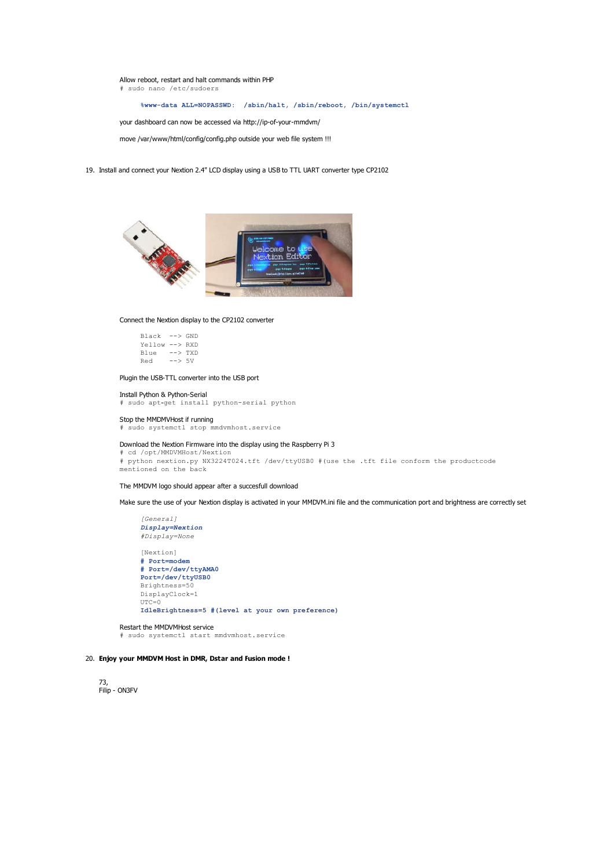Allow reboot, restart and halt commands within PHP # sudo nano /etc/sudoers

**%www-data ALL=NOPASSWD: /sbin/halt, /sbin/reboot, /bin/systemctl**

your dashboard can now be accessed via http://ip-of-your-mmdvm/

move /var/www/html/config/config.php outside your web file system !!!

19. Install and connect your Nextion 2.4" LCD display using a USB to TTL UART converter type CP2102



#### Connect the Nextion display to the CP2102 converter

| Black          | $\leftarrow$ $\rightarrow$ GND |  |
|----------------|--------------------------------|--|
| Yellow --> RXD |                                |  |
| Blue           | $\leftarrow$ $>$ TXD           |  |
| Red            | $--> 5V$                       |  |

# Plugin the USB-TTL converter into the USB port

Install Python & Python-Serial # sudo apt-get install python-serial python

#### Stop the MMDMVHost if running

# sudo systemctl stop mmdvmhost.service

# Download the Nextion Firmware into the display using the Raspberry Pi 3

# cd /opt/MMDVMHost/Nextion # python nextion.py NX3224T024.tft /dev/ttyUSB0 #(use the .tft file conform the productcode mentioned on the back

#### The MMDVM logo should appear after a succesfull download

Make sure the use of your Nextion display is activated in your MMDVM.ini file and the communication port and brightness are correctly set

*[General] Display=Nextion #Display=None* [Nextion] **# Port=modem # Port=/dev/ttyAMA0 Port=/dev/ttyUSB0** Brightness=50 DisplayClock=1  $UTC=0$ **IdleBrightness=5 #(level at your own preference)**

#### Restart the MMDVMHost service

# sudo systemctl start mmdvmhost.service

# 20. **Enjoy your MMDVM Host in DMR, Dstar and Fusion mode !**

73, Filip - ON3FV